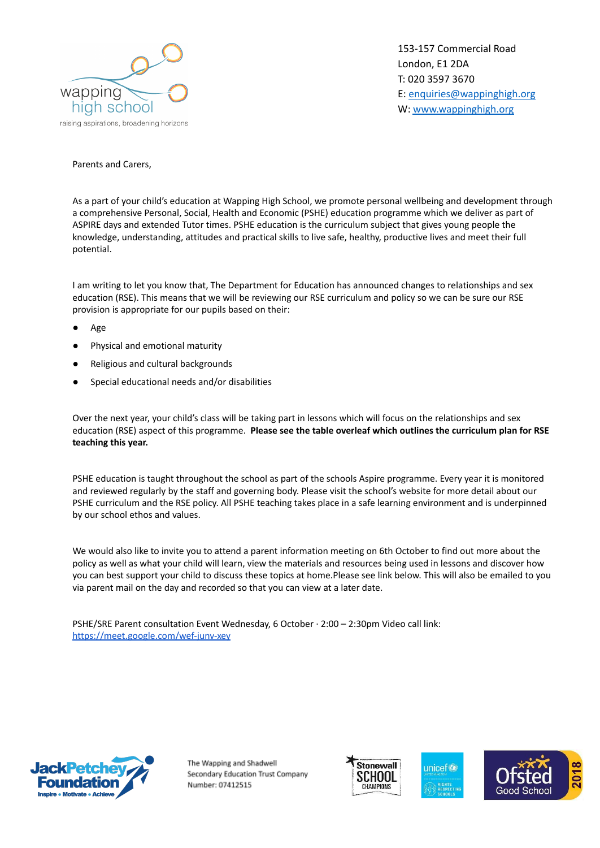

153-157 Commercial Road London, E1 2DA T: 020 3597 3670 E: [enquiries@wappinghigh.org](mailto:enquiries@wappinghigh.org) W: [www.wappinghigh.org](http://www.wappinghigh.org)

## Parents and Carers,

As a part of your child's education at Wapping High School, we promote personal wellbeing and development through a comprehensive Personal, Social, Health and Economic (PSHE) education programme which we deliver as part of ASPIRE days and extended Tutor times. PSHE education is the curriculum subject that gives young people the knowledge, understanding, attitudes and practical skills to live safe, healthy, productive lives and meet their full potential.

I am writing to let you know that, The Department for Education has announced changes to relationships and sex education (RSE). This means that we will be reviewing our RSE curriculum and policy so we can be sure our RSE provision is appropriate for our pupils based on their:

- **Age**
- Physical and emotional maturity
- Religious and cultural backgrounds
- Special educational needs and/or disabilities

Over the next year, your child's class will be taking part in lessons which will focus on the relationships and sex education (RSE) aspect of this programme. **Please see the table overleaf which outlines the curriculum plan for RSE teaching this year.**

PSHE education is taught throughout the school as part of the schools Aspire programme. Every year it is monitored and reviewed regularly by the staff and governing body. Please visit the school's website for more detail about our PSHE curriculum and the RSE policy. All PSHE teaching takes place in a safe learning environment and is underpinned by our school ethos and values.

We would also like to invite you to attend a parent information meeting on 6th October to find out more about the policy as well as what your child will learn, view the materials and resources being used in lessons and discover how you can best support your child to discuss these topics at home.Please see link below. This will also be emailed to you via parent mail on the day and recorded so that you can view at a later date.

PSHE/SRE Parent consultation Event Wednesday, 6 October · 2:00 – 2:30pm Video call link: <https://meet.google.com/wef-junv-xey>



The Wapping and Shadwell Secondary Education Trust Company Number: 07412515